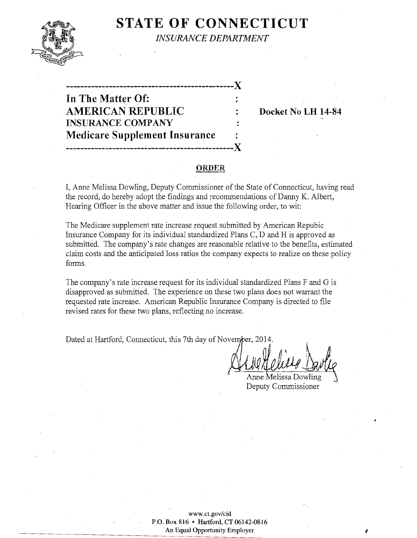

**STATE OF CONNECTICUT** 

**INSURANCE DEPARTMENT** 

In The Matter Of: **AMERICAN REPUBLIC INSURANCE COMPANY Medicare Supplement Insurance** 

Docket No LH 14-84

# **ORDER**

I, Anne Melissa Dowling, Deputy Commissioner of the State of Connecticut, having read the record, do hereby adopt the findings and recommendations of Danny K. Albert, Hearing Officer in the above matter and issue the following order, to wit:

The Medicare supplement rate increase request submitted by American Repubic Insurance Company for its individual standardized Plans C, D and H is approved as submitted. The company's rate changes are reasonable relative to the benefits, estimated claim costs and the anticipated loss ratios the company expects to realize on these policy forms.

The company's rate increase request for its individual standardized Plans F and G is disapproved as submitted. The experience on these two plans does not warrant the requested rate increase. American Republic Insurance Company is directed to file revised rates for these two plans, reflecting no increase.

Dated at Hartford, Connecticut, this 7th day of November, 2014.

Anne Melissa Dowling

Deputy Commissioner

www.ct.gov/cid P.O. Box 816 • Hartford, CT 06142-0816 An Equal Opportunity Employer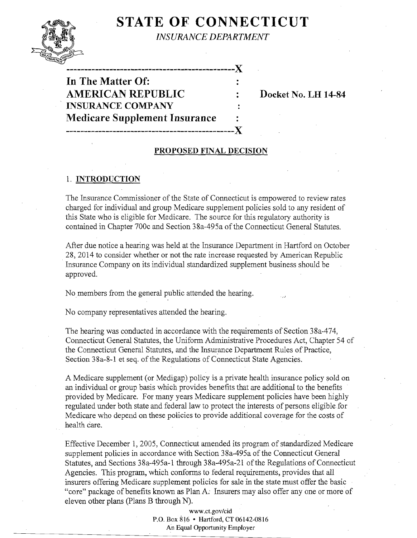# **STATE OF CONNECTICUT**



*INSURANCE DEPARTMENT* 

**-----------------------------------------------)( In The Matter Of:** AMERICAN REPUBLIC : Docket No. LH 14-84 **INSURANCE COMPANY Medicare Supplement Insurance -----------------------------------------------)(** 

### **PROPOSED FINAL DECISION**

## 1. **INTRODUCTION**

The Insurance Commissioner of the State of Connecticut is empowered to review rates charged for individual and group Medicare supplement policies sold to any resident of this State who is eligible for Medicare. The source for this regulatory authority is contained in Chapter 700c and Section 38a-495a ofthe Connecticut General Statutes.

After due notice a hearing was held at the Insurance Department in Hartford on October 28,2014 to consider whether or not the rate increase requested by American Republic Insurance Company on its individual standardized supplement business should be approved.

No members from the general public attended the hearing.

No company representatives attended the hearing.

The hearing was conducted in accordance with the requirements of Section 38a-474, Connecticut General Statutes, the Uniform Administrative Procedures Act, Chapter 54 of the Connecticut General Statutes, and the Insurance Department Rules of Practice, Section 38a-8-1 et seq. of the Regulations of Connecticut State Agencies.

A Medicare supplement (or Medigap) policy is a private health insurance policy sold on an individual or group basis which provides benefits that are additional to the benefits provided by Medicare. For many years Medicare supplement policies have been highly regulated under both state and federal law to protect the interests of persons eligible for Medicare who depend on these policies to provide additional coverage for the costs of health care.

Effective December 1, 2005, Connecticut amended its program of standardized Medicare supplement policies in accordance with Section 38a-495a of the Connecticut General Statutes, and Sections 38a-495a-1 through 38a-495a-21 of the Regulations of Connecticut Agencies. This program, which conforms to federal requirements, provides that all insurers offering Medicare supplement policies for sale in the state must offer the basic "core" package of benefits known as Plan A: Insurers may also offer any one or more of eleven other plans (plans B through N).

> www.ct.gov/cid P.O. Box 816 • Hartford, CT 06142-0816 An Equal Opportunity Employer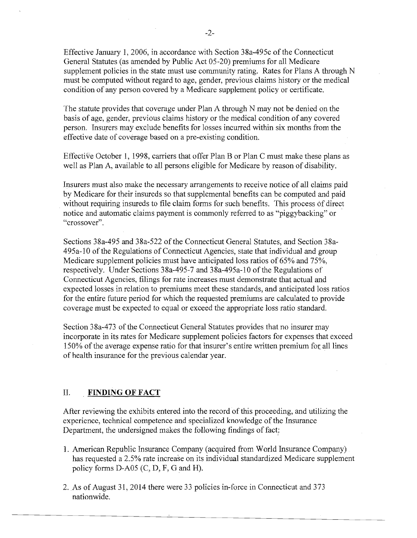Effective January 1, 2006, in accordance with Section 38a-495c ofthe Connecticut General Statutes (as amended by Public Act 05-20) premiums for all Medicare supplement policies in the state must use community rating. Rates for Plans A through N must be computed without regard to age, gender, previous claims history or the medical condition of any person covered by a Medicare supplement policy or certificate.

The statute provides that coverage under Plan A through N may not be denied on the basis of age, gender, previous claims history or the medical condition of any covered person. Insurers may exclude benefits for losses incurred within six months from the effective date of coverage based on a pre-existing condition.

Effective October 1, 1998, carriers that offer Plan B or Plan C must make these plans as well as Plan A, available to all persons eligible for Medicare by reason of disability.

Insurers must also make the necessary arrangements to receive notice of all claims paid by Medicare for their insureds so that supplemental benefits can be computed and paid without requiring insureds to file claim forms for such benefits. This process of direct notice and automatic claims payment is commonly referred to as "piggybacking" or "crossover".

Sections 38a-495 and 38a-522 of the Connecticut General Statutes, and Section 38a-495a-10 of the Regulations of Connecticut Agencies, state that individual and group Medicare supplement policies must have anticipated loss ratios of 65% and 75%, respectively. Under Sections 38a-495-7 and 38a-495a-10 of the Regulations of Connecticut Agencies, filings for rate increases must demonstrate that actual and expected losses in relation to premiums meet these standards, and anticipated loss ratios for the entire future period for which the requested premiums are calculated to provide coverage must be expected to equal or exceed the appropriate loss ratio standard.

Section 38a-473 of the Connecticut General Statutes provides that no insurer may incorporate in its rates for Medicare supplement policies factors for expenses that exceed 150% of the average expense ratio for that insurer's entire written premium for all lines of health insurance for the previous calendar year.

#### II. **FINDING OF FACT**

After reviewing the exhibits entered into the record of this proceeding, and utilizing the experience, technical competence and specialized knowledge of the Insurance Department, the undersigned makes the following findings of fact;

- 1. American Republic Insurance Company (acquired from World Insurance Company) has requested a 2.5% rate increase on its individual standardized Medicare supplement policy forms D-A05 (C, D, F, G and H).
- 2. As of August 31, 2014 there were 33 policies in-force in Connecticut and 373 nationwide.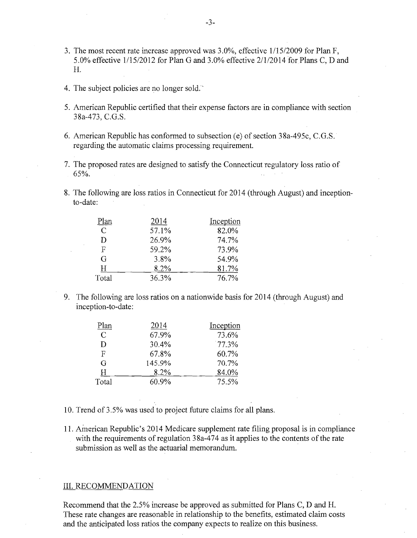- 3. The most recent rate increase approved was 3.0%, effective 1/15/2009 for Plan F, 5.0% effective 1/15/2012 for Plan G and 3.0% effective 2/1/2014 forPlans C, D and H.
- 4. The subject policies are no longer sold.'
- 5. American Republic certified that their expense factors are in compliance with section 38a-473, C.G.S.
- 6. American Republic has conformed to subsection (e) of section 38a-495c, C.G.S. regarding the automatic claims processing requirement.
- 7. The proposed rates are designed to satisfy the Connecticut regulatory loss ratio of 65%.
- 8. The following are loss ratios in Connecticut for 2014 (through August) and inceptionto-date:

| Plan          | 2014  | Inception |
|---------------|-------|-----------|
| $\mathcal{C}$ | 57.1% | 82.0%     |
| D             | 26.9% | 74.7%     |
| F             | 59.2% | 73.9%     |
| G             | 3.8%  | 54.9%     |
| H             | 8.2%  | 81.7%     |
| Total         | 36.3% | 76.7%     |

9. The following are loss ratios on a nationwide basis for 2014 (through August) and inception-to-date:

| Plan          | 2014   | Inception |
|---------------|--------|-----------|
| $\mathcal{C}$ | 67.9%  | 73.6%     |
| D             | 30.4%  | $77.3\%$  |
| F             | 67.8%  | 60.7%     |
| G             | 145.9% | 70.7%     |
| Н             | 8.2%   | 84.0%     |
| Total         | 60.9%  | 75.5%     |

- 10. Trend of 3.5% was used to project future claims for all plans.
- 11. American Republic's 2014 Medicare supplement rate filing proposal is in compliance with the requirements of regulation  $38a-474$  as it applies to the contents of the rate submission as well as the actuarial memorandum. .

#### III. RECOMMENDATION

Recommend that the 2.5% increase be approved as submitted for Plans C, D and H. These rate changes are reasonable in relationship to the benefits, estimated claim costs and the anticipated loss ratios the company expects to realize on this business.